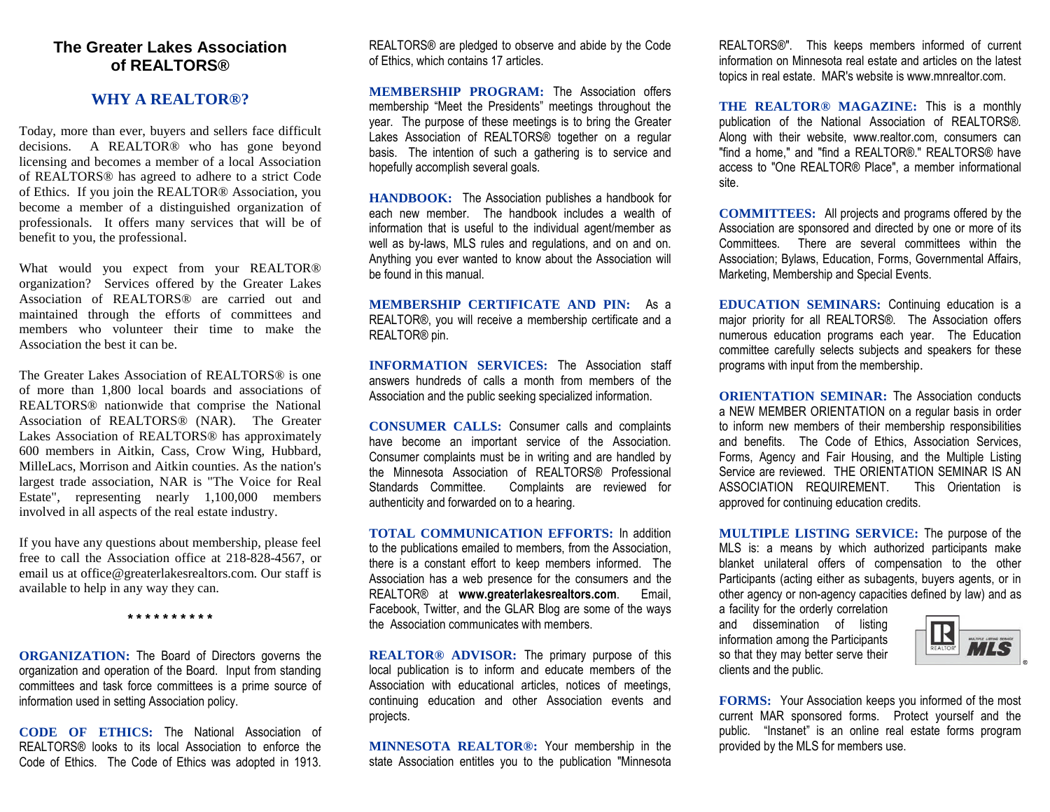## **The Greater Lakes Association of REALTORS®**

#### **WHY A REALTOR®?**

Today, more than ever, buyers and sellers face difficult decisions. A REALTOR® who has gone beyond licensing and becomes a member of a local Association of REALTORS® has agreed to adhere to a strict Code of Ethics. If you join the REALTOR® Association, you become a member of a distinguished organization of professionals. It offers many services that will be of benefit to you, the professional.

What would you expect from your REALTOR® organization? Services offered by the Greater Lakes Association of REALTORS® are carried out and maintained through the efforts of committees and members who volunteer their time to make the Association the best it can be.

The Greater Lakes Association of REALTORS® is one of more than 1,800 local boards and associations of REALTORS® nationwide that comprise the National Association of REALTORS® (NAR). The Greater Lakes Association of REALTORS® has approximately 600 members in Aitkin, Cass, Crow Wing, Hubbard, MilleLacs, Morrison and Aitkin counties. As the nation's largest trade association, NAR is "The Voice for Real Estate", representing nearly 1,100,000 members involved in all aspects of the real estate industry.

If you have any questions about membership, please feel free to call the Association office at 218-828-4567, or email us at office@greaterlakesrealtors.com. Our staff is available to help in any way they can.

**\* \* \* \* \* \* \* \* \* \***

**ORGANIZATION:** The Board of Directors governs the organization and operation of the Board. Input from standing committees and task force committees is a prime source of information used in setting Association policy.

**CODE OF ETHICS:** The National Association of REALTORS® looks to its local Association to enforce the Code of Ethics. The Code of Ethics was adopted in 1913.

REALTORS® are pledged to observe and abide by the Code of Ethics, which contains 17 articles.

**MEMBERSHIP PROGRAM:** The Association offers membership "Meet the Presidents" meetings throughout the year. The purpose of these meetings is to bring the Greater Lakes Association of REALTORS® together on a regular basis. The intention of such a gathering is to service and hopefully accomplish several goals.

**HANDBOOK:** The Association publishes a handbook for each new member. The handbook includes a wealth of information that is useful to the individual agent/member as well as by-laws, MLS rules and regulations, and on and on. Anything you ever wanted to know about the Association will be found in this manual.

**MEMBERSHIP CERTIFICATE AND PIN:** As a REALTOR®, you will receive a membership certificate and a REALTOR® pin.

**INFORMATION SERVICES:** The Association staff answers hundreds of calls a month from members of the Association and the public seeking specialized information.

**CONSUMER CALLS:** Consumer calls and complaints have become an important service of the Association. Consumer complaints must be in writing and are handled by the Minnesota Association of REALTORS® Professional Standards Committee. Complaints are reviewed for authenticity and forwarded on to a hearing.

**TOTAL COMMUNICATION EFFORTS:** In addition to the publications emailed to members, from the Association, there is a constant effort to keep members informed. The Association has a web presence for the consumers and the REALTOR® at **www.greaterlakesrealtors.com**. Email, Facebook, Twitter, and the GLAR Blog are some of the ways the Association communicates with members.

**REALTOR® ADVISOR:** The primary purpose of this local publication is to inform and educate members of the Association with educational articles, notices of meetings, continuing education and other Association events and projects.

**MINNESOTA REALTOR®:** Your membership in the state Association entitles you to the publication "Minnesota

REALTORS®". This keeps members informed of current information on Minnesota real estate and articles on the latest topics in real estate. MAR's website is www.mnrealtor.com.

**THE REALTOR® MAGAZINE:** This is a monthly publication of the National Association of REALTORS®. Along with their website, www.realtor.com, consumers can "find a home," and "find a REALTOR®." REALTORS® have access to "One REALTOR® Place", a member informational site.

**COMMITTEES:** All projects and programs offered by the Association are sponsored and directed by one or more of its Committees. There are several committees within the Association; Bylaws, Education, Forms, Governmental Affairs, Marketing, Membership and Special Events.

**EDUCATION SEMINARS:** Continuing education is a major priority for all REALTORS®. The Association offers numerous education programs each year. The Education committee carefully selects subjects and speakers for these programs with input from the membership.

**ORIENTATION SEMINAR:** The Association conducts a NEW MEMBER ORIENTATION on a regular basis in order to inform new members of their membership responsibilities and benefits. The Code of Ethics, Association Services, Forms, Agency and Fair Housing, and the Multiple Listing Service are reviewed. THE ORIENTATION SEMINAR IS AN ASSOCIATION REQUIREMENT. This Orientation is approved for continuing education credits.

**MULTIPLE LISTING SERVICE:** The purpose of the MLS is: a means by which authorized participants make blanket unilateral offers of compensation to the other Participants (acting either as subagents, buyers agents, or in other agency or non-agency capacities defined by law) and as a facility for the orderly correlation

and dissemination of listing information among the Participants so that they may better serve their clients and the public.



**FORMS:** Your Association keeps you informed of the most current MAR sponsored forms. Protect yourself and the public. "Instanet" is an online real estate forms program provided by the MLS for members use.